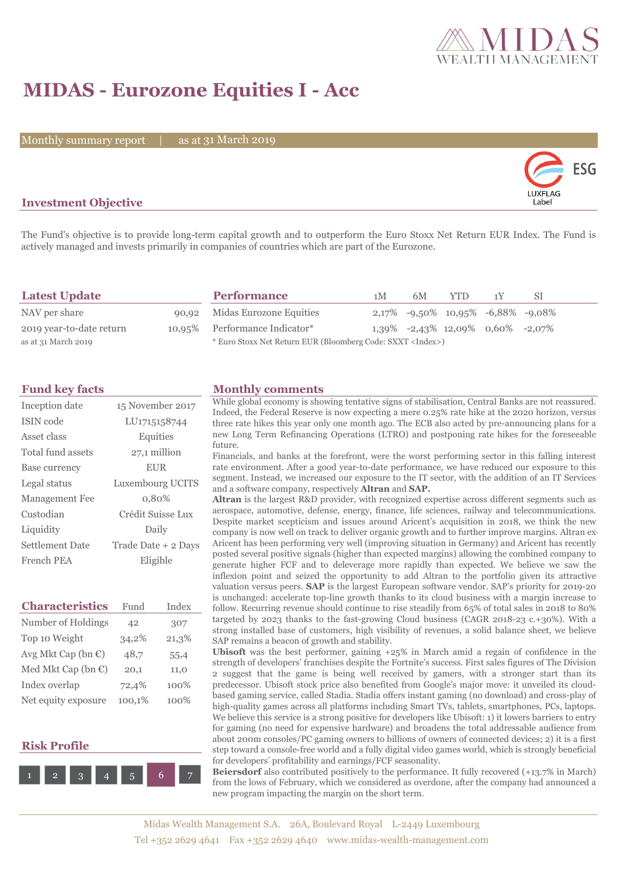

## **MIDAS - Eurozone Equities I - Acc**

Monthly summary report

as at 31 March 2019



### **Investment Objective**

The Fund's objective is to provide long-term capital growth and to outperform the Euro Stoxx Net Return EUR Index. The Fund is actively managed and invests primarily in companies of countries which are part of the Eurozone.

| <b>Latest Update</b>     | <b>Performance</b>                                                 | 1 <sub>M</sub> | 6M | <b>YTD</b>                              | 1 Y | -SI |
|--------------------------|--------------------------------------------------------------------|----------------|----|-----------------------------------------|-----|-----|
| NAV per share            | 90,92 Midas Eurozone Equities                                      |                |    | $2,17\%$ -9,50% 10,95% -6,88% -9,08%    |     |     |
| 2019 year-to-date return | 10,95% Performance Indicator*                                      |                |    | $1,39\%$ -2,43\% 12,09\% 0,60\% -2,07\% |     |     |
| as at 31 March 2019      | * Euro Stoxx Net Return EUR (Bloomberg Code: SXXT <index>)</index> |                |    |                                         |     |     |

| Inception date         | 15 November 2017    |
|------------------------|---------------------|
| ISIN code              | LU1715158744        |
| Asset class            | Equities            |
| Total fund assets      | 27,1 million        |
| Base currency          | <b>EUR</b>          |
| Legal status           | Luxembourg UCITS    |
| <b>Management Fee</b>  | 0,80%               |
| Custodian              | Crédit Suisse Lux   |
| Liquidity              | Daily               |
| <b>Settlement Date</b> | Trade Date + 2 Days |
| French PEA             | Eligible            |

| <b>Characteristics</b>         | Fund   | Index |
|--------------------------------|--------|-------|
| Number of Holdings             | 42     | 307   |
| Top 10 Weight                  | 34,2%  | 21,3% |
| Avg Mkt Cap (bn $\epsilon$ )   | 48,7   | 55,4  |
| Med Mkt Cap (bn $\mathbb{C}$ ) | 20,1   | 11,0  |
| Index overlap                  | 72,4%  | 100%  |
| Net equity exposure            | 100,1% | 100%  |

#### **Risk Profile**



#### **Fund key facts Monthly comments**

While global economy is showing tentative signs of stabilisation, Central Banks are not reassured. Indeed, the Federal Reserve is now expecting a mere 0.25% rate hike at the 2020 horizon, versus three rate hikes this year only one month ago. The ECB also acted by pre-announcing plans for a new Long Term Refinancing Operations (LTRO) and postponing rate hikes for the foreseeable future.

Financials, and banks at the forefront, were the worst performing sector in this falling interest rate environment. After a good year-to-date performance, we have reduced our exposure to this segment. Instead, we increased our exposure to the IT sector, with the addition of an IT Services and a software company, respectively **Altran** and **SAP.** 

**Altran** is the largest R&D provider, with recognized expertise across different segments such as aerospace, automotive, defense, energy, finance, life sciences, railway and telecommunications. Despite market scepticism and issues around Aricent's acquisition in 2018, we think the new company is now well on track to deliver organic growth and to further improve margins. Altran ex-Aricent has been performing very well (improving situation in Germany) and Aricent has recently posted several positive signals (higher than expected margins) allowing the combined company to generate higher FCF and to deleverage more rapidly than expected. We believe we saw the inflexion point and seized the opportunity to add Altran to the portfolio given its attractive valuation versus peers. **SAP** is the largest European software vendor. SAP's priority for 2019-20 is unchanged: accelerate top-line growth thanks to its cloud business with a margin increase to follow. Recurring revenue should continue to rise steadily from 65% of total sales in 2018 to 80% targeted by 2023 thanks to the fast-growing Cloud business (CAGR 2018-23 c.+30%). With a strong installed base of customers, high visibility of revenues, a solid balance sheet, we believe SAP remains a beacon of growth and stability.

**Ubisoft** was the best performer, gaining +25% in March amid a regain of confidence in the strength of developers' franchises despite the Fortnite's success. First sales figures of The Division 2 suggest that the game is being well received by gamers, with a stronger start than its predecessor. Ubisoft stock price also benefited from Google's major move: it unveiled its cloudbased gaming service, called Stadia. Stadia offers instant gaming (no download) and cross-play of high-quality games across all platforms including Smart TVs, tablets, smartphones, PCs, laptops. We believe this service is a strong positive for developers like Ubisoft: 1) it lowers barriers to entry for gaming (no need for expensive hardware) and broadens the total addressable audience from about 200m consoles/PC gaming owners to billions of owners of connected devices; 2) it is a first step toward a console-free world and a fully digital video games world, which is strongly beneficial for developers' profitability and earnings/FCF seasonality.

**Beiersdorf** also contributed positively to the performance. It fully recovered (+13.7% in March) from the lows of February, which we considered as overdone, after the company had announced a new program impacting the margin on the short term.